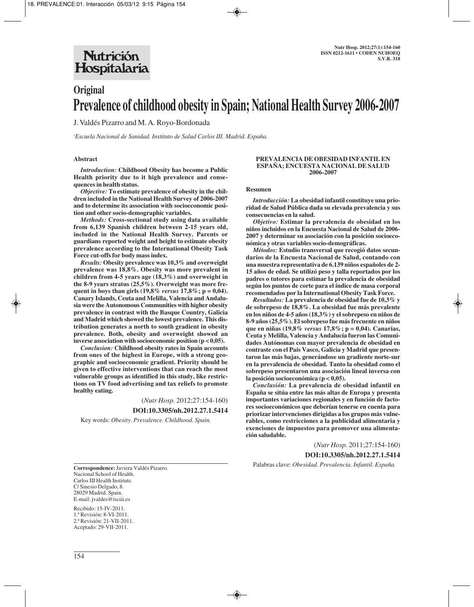# **Nutrición** Hospitalaria

# **Original Prevalence of childhood obesity in Spain; National Health Survey 2006-2007**

J. Valdés Pizarro and M. A. Royo-Bordonada

*1 Escuela Nacional de Sanidad. Instituto de Salud Carlos III. Madrid. España.*

## **Abstract**

*Introduction:* **Childhood Obesity has become a Public Health priority due to it high prevalence and consequences in health status.** 

*Objective:* **To estimate prevalence of obesity in the children included in the National Health Survey of 2006-2007 and to determine its association with socioeconomic position and other socio-demographic variables.** 

*Methods:* **Cross-sectional study using data available from 6,139 Spanish children between 2-15 years old, included in the National Health Survey. Parents or guardians reported weight and height to estimate obesity prevalence according to the International Obesity Task Force cut-offs for body mass index.** 

*Results:* **Obesity prevalence was 10,3% and overweight prevalence was 18,8%. Obesity was more prevalent in children from 4-5 years age (18,3%) and overweight in the 8-9 years stratus (25,5%). Overweight was more frequent in boys than girls (19,8%** *versus* **17,8%; p = 0,04). Canary Islands, Ceuta and Melilla, Valencia and Andalusia were the Autonomous Communities with higher obesity prevalence in contrast with the Basque Country, Galicia and Madrid which showed the lowest prevalence. This distribution generates a north to south gradient in obesity prevalence. Both, obesity and overweight showed an inverse association with socioeconomic position (p < 0,05).** 

*Conclusion:* **Childhood obesity rates in Spain accounts from ones of the highest in Europe, with a strong geographic and socioeconomic gradient. Priority should be given to effective interventions that can reach the most vulnerable groups as identified in this study, like restrictions on TV food advertising and tax reliefs to promote healthy eating.**

> (*Nutr Hosp.* 2012;27:154-160) **DOI:10.3305/nh.2012.27.1.5414**

Key words: *Obesity. Prevalence. Childhood. Spain.*

### **PREVALENCIA DE OBESIDAD INFANTIL EN ESPAÑA; ENCUESTA NACIONAL DE SALUD 2006-2007**

#### **Resumen**

*Introducción:* **La obesidad infantil constituye una prioridad de Salud Pública dada su elevada prevalencia y sus consecuencias en la salud.** 

*Objetivo:* **Estimar la prevalencia de obesidad en los niños incluidos en la Encuesta Nacional de Salud de 2006- 2007 y determinar su asociación con la posición socioeconómica y otras variables socio-demográficas.** 

*Métodos:* **Estudio transversal que recogió datos secundarios de la Encuesta Nacional de Salud, contando con una muestra representativa de 6.139 niños españoles de 2- 15 años de edad. Se utilizó peso y talla reportados por los padres o tutores para estimar la prevalencia de obesidad según los puntos de corte para el índice de masa corporal recomendados por la International Obesity Task Force.**

*Resultados:* **La prevalencia de obesidad fue de 10,3% y de sobrepeso de 18,8%. La obesidad fue más prevalente en los niños de 4-5 años (18,3%) y el sobrepeso en niños de 8-9 años (25,5%). El sobrepeso fue más frecuente en niños que en niñas (19,8%** *versus* **17,8%; p = 0,04). Canarias, Ceuta y Melilla, Valencia y Andalucía fueron las Comunidades Autónomas con mayor prevalencia de obesidad en contraste con el País Vasco, Galicia y Madrid que presentaron las más bajas, generándose un gradiente norte-sur en la prevalencia de obesidad. Tanto la obesidad como el sobrepeso presentaron una asociación lineal inversa con la posición socioeconómica (p < 0,05).**

*Conclusión:* **La prevalencia de obesidad infantil en España se sitúa entre las más altas de Europa y presenta importantes variaciones regionales y en función de factores socioeconómicos que deberían tenerse en cuenta para priorizar intervenciones dirigidas a los grupos más vulnerables, como restricciones a la publicidad alimentaria y exenciones de impuestos para promover una alimentación saludable.** 

(*Nutr Hosp.* 2011;27:154-160)

**DOI:10.3305/nh.2012.27.1.5414**

Palabras clave: *Obesidad. Prevalencia. Infantil. España.*

**Correspondence:** Javiera Valdés Pizarro. Nacional School of Health. Carlos III Health Institute. C/ Sinesio Delgado, 8. 28029 Madrid. Spain. E-mail: jvaldes@isciii.es

Recibido: 15-IV-2011. 1.ª Revisión: 8-VI-2011. 2.ª Revisión: 21-VII-2011. Aceptado: 29-VII-2011.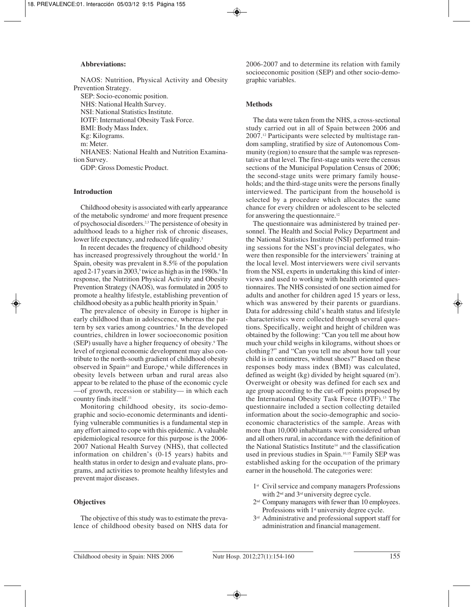## **Abbreviations:**

NAOS: Nutrition, Physical Activity and Obesity Prevention Strategy.

SEP: Socio-economic position.

NHS: National Health Survey.

NSI: National Statistics Institute.

IOTF: International Obesity Task Force.

BMI: Body Mass Index.

Kg: Kilograms. m: Meter.

NHANES: National Health and Nutrition Examination Survey.

GDP: Gross Domestic Product.

# **Introduction**

Childhood obesity is associated with early appearance of the metabolic syndrome<sup>1</sup> and more frequent presence of psychosocial disorders.2,3 The persistence of obesity in adulthood leads to a higher risk of chronic diseases, lower life expectancy, and reduced life quality.<sup>3</sup>

In recent decades the frequency of childhood obesity has increased progressively throughout the world.<sup>4</sup> In Spain, obesity was prevalent in 8.5% of the population aged 2-17 years in 2003,<sup>5</sup> twice as high as in the 1980s.<sup>6</sup> In response, the Nutrition Physical Activity and Obesity Prevention Strategy (NAOS), was formulated in 2005 to promote a healthy lifestyle, establishing prevention of childhood obesity as a public health priority in Spain.7

The prevalence of obesity in Europe is higher in early childhood than in adolescence, whereas the pattern by sex varies among countries.<sup>8</sup> In the developed countries, children in lower socioeconomic position (SEP) usually have a higher frequency of obesity.<sup>9</sup> The level of regional economic development may also contribute to the north-south gradient of childhood obesity observed in Spain<sup>10</sup> and Europe,<sup>8</sup> while differences in obesity levels between urban and rural areas also appear to be related to the phase of the economic cycle —of growth, recession or stability— in which each country finds itself.<sup>11</sup>

Monitoring childhood obesity, its socio-demographic and socio-economic determinants and identifying vulnerable communities is a fundamental step in any effort aimed to cope with this epidemic. A valuable epidemiological resource for this purpose is the 2006- 2007 National Health Survey (NHS), that collected information on children's (0-15 years) habits and health status in order to design and evaluate plans, programs, and activities to promote healthy lifestyles and prevent major diseases.

# **Objectives**

The objective of this study was to estimate the prevalence of childhood obesity based on NHS data for 2006-2007 and to determine its relation with family socioeconomic position (SEP) and other socio-demographic variables.

### **Methods**

The data were taken from the NHS, a cross-sectional study carried out in all of Spain between 2006 and 2007.12 Participants were selected by multistage random sampling, stratified by size of Autonomous Community (region) to ensure that the sample was representative at that level. The first-stage units were the census sections of the Municipal Population Census of 2006; the second-stage units were primary family households; and the third-stage units were the persons finally interviewed. The participant from the household is selected by a procedure which allocates the same chance for every children or adolescent to be selected for answering the questionnaire.12

The questionnaire was administered by trained personnel. The Health and Social Policy Department and the National Statistics Institute (NSI) performed training sessions for the NSI's provincial delegates, who were then responsible for the interviewers' training at the local level. Most interviewers were civil servants from the NSI, experts in undertaking this kind of interviews and used to working with health oriented questionnaires. The NHS consisted of one section aimed for adults and another for children aged 15 years or less, which was answered by their parents or guardians. Data for addressing child's health status and lifestyle characteristics were collected through several questions. Specifically, weight and height of children was obtained by the following: "Can you tell me about how much your child weighs in kilograms, without shoes or clothing?" and "Can you tell me about how tall your child is in centimetres, without shoes?" Based on these responses body mass index (BMI) was calculated, defined as weight (kg) divided by height squared  $(m<sup>2</sup>)$ . Overweight or obesity was defined for each sex and age group according to the cut-off points proposed by the International Obesity Task Force (IOTF).<sup>13</sup> The questionnaire included a section collecting detailed information about the socio-demographic and socioeconomic characteristics of the sample. Areas with more than 10,000 inhabitants were considered urban and all others rural, in accordance with the definition of the National Statistics Institute<sup>14</sup> and the classification used in previous studies in Spain.10,15 Family SEP was established asking for the occupation of the primary earner in the household. The categories were:

- 1<sup>st</sup> Civil service and company managers Professions with  $2<sup>nd</sup>$  and  $3<sup>rd</sup>$  university degree cycle.
- 2nd Company managers with fewer than 10 employees. Professions with 1<sup>st</sup> university degree cycle.
- 3<sup>rd</sup> Administrative and professional support staff for administration and financial management.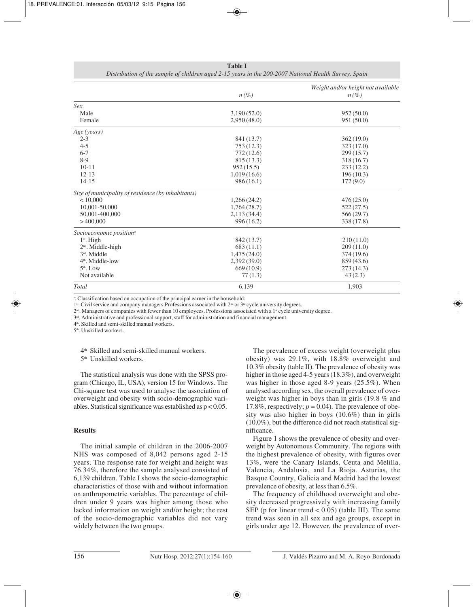|                                                    |             | Weight and/or height not available |  |  |
|----------------------------------------------------|-------------|------------------------------------|--|--|
|                                                    | $n(\%)$     | $n(\%)$                            |  |  |
| Sex                                                |             |                                    |  |  |
| Male                                               | 3,190(52.0) | 952(50.0)                          |  |  |
| Female                                             | 2,950(48.0) | 951 (50.0)                         |  |  |
| Age (years)                                        |             |                                    |  |  |
| $2 - 3$                                            | 841 (13.7)  | 362(19.0)                          |  |  |
| $4 - 5$                                            | 753(12.3)   | 323(17.0)                          |  |  |
| $6 - 7$                                            | 772(12.6)   | 299(15.7)                          |  |  |
| $8-9$                                              | 815 (13.3)  | 318(16.7)                          |  |  |
| $10 - 11$                                          | 952(15.5)   | 233(12.2)                          |  |  |
| $12 - 13$                                          | 1,019(16.6) | 196(10.3)                          |  |  |
| $14 - 15$                                          | 986(16.1)   | 172(9.0)                           |  |  |
| Size of municipality of residence (by inhabitants) |             |                                    |  |  |
| < 10,000                                           | 1,266(24.2) | 476(25.0)                          |  |  |
| 10,001-50,000                                      | 1,764(28.7) | 522 (27.5)                         |  |  |
| 50,001-400,000                                     | 2,113(34.4) | 566(29.7)                          |  |  |
| >400,000                                           | 996(16.2)   | 338 (17.8)                         |  |  |
| Socioeconomic position <sup>a</sup>                |             |                                    |  |  |
| $1st$ . High                                       | 842 (13.7)  | 210(11.0)                          |  |  |
| 2 <sup>nd</sup> . Middle-high                      | 683(11.1)   | 209(11.0)                          |  |  |
| $3rd$ . Middle                                     | 1,475(24.0) | 374(19.6)                          |  |  |
| 4 <sup>th</sup> . Middle-low                       | 2,392(39.0) | 859 (43.6)                         |  |  |
| $5th$ . Low                                        | 669(10.9)   | 273(14.3)                          |  |  |
| Not available                                      | 77(1.3)     | 43(2.3)                            |  |  |
| Total                                              | 6,139       | 1,903                              |  |  |

**Table I** *Distribution of the sample of children aged 2-15 years in the 200-2007 National Health Survey, Spain*

a : Classification based on occupation of the principal earner in the household:

1st. Civil service and company managers. Professions associated with 2<sup>nd</sup> or 3<sup>rd</sup> cycle university degrees.

2<sup>nd</sup>. Managers of companies with fewer than 10 employees. Professions associated with a 1<sup>st</sup> cycle university degree.

 $3<sup>rd</sup>$ . Administrative and professional support, staff for administration and financial management.

4th. Skilled and semi-skilled manual workers.

5<sup>th</sup>. Unskilled workers.

4th Skilled and semi-skilled manual workers.

5th Unskilled workers.

The statistical analysis was done with the SPSS program (Chicago, IL, USA), version 15 for Windows. The Chi-square test was used to analyse the association of overweight and obesity with socio-demographic variables. Statistical significance was established as p < 0.05.

# **Results**

The initial sample of children in the 2006-2007 NHS was composed of 8,042 persons aged 2-15 years. The response rate for weight and height was 76.34%, therefore the sample analysed consisted of 6,139 children. Table I shows the socio-demographic characteristics of those with and without information on anthropometric variables. The percentage of children under 9 years was higher among those who lacked information on weight and/or height; the rest of the socio-demographic variables did not vary widely between the two groups.

The prevalence of excess weight (overweight plus obesity) was 29.1%, with 18.8% overweight and 10.3% obesity (table II). The prevalence of obesity was higher in those aged 4-5 years (18.3%), and overweight was higher in those aged 8-9 years (25.5%). When analysed according sex, the overall prevalence of overweight was higher in boys than in girls (19.8 % and 17.8%, respectively;  $p = 0.04$ ). The prevalence of obesity was also higher in boys (10.6%) than in girls (10.0%), but the difference did not reach statistical significance.

Figure 1 shows the prevalence of obesity and overweight by Autonomous Community. The regions with the highest prevalence of obesity, with figures over 13%, were the Canary Islands, Ceuta and Melilla, Valencia, Andalusia, and La Rioja. Asturias, the Basque Country, Galicia and Madrid had the lowest prevalence of obesity, at less than 6.5%.

The frequency of childhood overweight and obesity decreased progressively with increasing family SEP (p for linear trend  $< 0.05$ ) (table III). The same trend was seen in all sex and age groups, except in girls under age 12. However, the prevalence of over-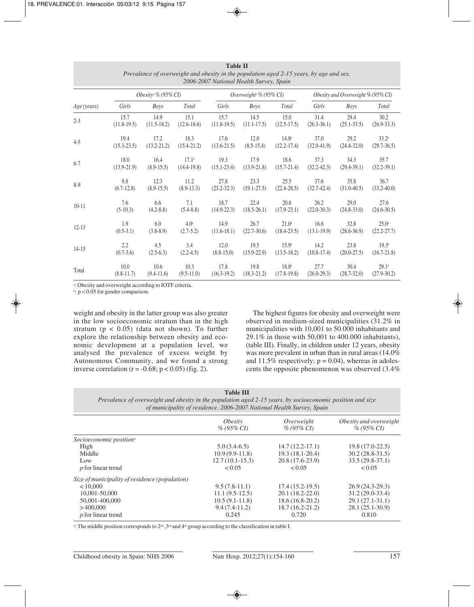| таріе п<br>Prevalence of overweight and obesity in the population aged 2-15 years, by age and sex.<br>2006-2007 National Health Survey, Spain |                                 |                 |                  |                                    |                 |                                   |                 |                 |                   |
|-----------------------------------------------------------------------------------------------------------------------------------------------|---------------------------------|-----------------|------------------|------------------------------------|-----------------|-----------------------------------|-----------------|-----------------|-------------------|
|                                                                                                                                               | Obesity <sup>a</sup> % (95% CI) |                 |                  | Overweight <sup>a</sup> % (95% CI) |                 | Obesity and Overweight % (95% CI) |                 |                 |                   |
| Age (years)                                                                                                                                   | Girls                           | <b>Boys</b>     | Total            | Girls                              | <b>Boys</b>     | Total                             | Girls           | <b>Boys</b>     | Total             |
| $2 - 3$                                                                                                                                       | 15.7                            | 14.9            | 15.1             | 15.7                               | 14.5            | 15.0                              | 31.4            | 29.4            | 30.2              |
|                                                                                                                                               | $(11.8-19.5)$                   | $(11.5-18.2)$   | $(12.6 - 18.6)$  | $(11.8-19.5)$                      | $(11.1 - 17.5)$ | $(12.5 - 17.5)$                   | $(26.3 - 36.1)$ | $(25.1 - 33.5)$ | $(26.9 - 33.3)$   |
| $4 - 5$                                                                                                                                       | 19.4                            | 17.2            | 18.3             | 17.6                               | 12.0            | 14.8 <sup>b</sup>                 | 37.0            | 29.2            | 33.2 <sup>b</sup> |
|                                                                                                                                               | $(15.3 - 23.5)$                 | $(13.2 - 21.2)$ | $(15.4 - 21.2)$  | $(13.6 - 21.5)$                    | $(8.5-15.4)$    | $(12.2 - 17.4)$                   | $(32.0 - 41.9)$ | $(24.4 - 32.0)$ | $(29.7-36.5)$     |
| $6 - 7$                                                                                                                                       | 18.0                            | 16.4            | $17.1^{\circ}$   | 19.3                               | 17.9            | 18.6                              | 37.3            | 34.3            | 35.7              |
|                                                                                                                                               | $(13.9-21.9)$                   | $(8.9-15.5)$    | $(14.4 - 19.8)$  | $(15.1 - 23.4)$                    | $(13.9 - 21.8)$ | $(15.7 - 21.4)$                   | $(32.2 - 42.3)$ | $(29.4 - 39.1)$ | $(32.2 - 39.1)$   |
| $8-9$                                                                                                                                         | 9.8                             | 12.3            | 11.2             | 27.8                               | 23.3            | 25.5                              | 37.6            | 35.8            | 36.7              |
|                                                                                                                                               | $(6.7-12.8)$                    | $(8.9-15.5)$    | $(8.9-13.3)$     | $(23.2 - 32.3)$                    | $(19.1 - 27.5)$ | $(22.4 - 28.5)$                   | $(32.7-42.4)$   | $(31.0 - 40.5)$ | $(33.2 - 40.0)$   |
| $10 - 11$                                                                                                                                     | 7.6                             | 6.6             | 7.1              | 18.7                               | 22.4            | 20.6                              | 26.2            | 29.0            | 27.6              |
|                                                                                                                                               | $(5-10.3)$                      | $(4.2 - 8.8)$   | $(5.4 - 8.8)$    | $(14.9-22.3)$                      | $(18.5 - 26.1)$ | $(17.9 - 23.1)$                   | $(22.0 - 30.3)$ | $(24.8 - 33.0)$ | $(24.6 - 30.5)$   |
| $12 - 13$                                                                                                                                     | 1.9                             | 6.0             | 4.0 <sup>b</sup> | 14.9                               | 26.7            | 21.0 <sup>b</sup>                 | 16.6            | 32.8            | $25.0^{\circ}$    |
|                                                                                                                                               | $(0.5-3.1)$                     | $(3.8-8.9)$     | $(2.7-5.2)$      | $(11.6 - 18.1)$                    | $(22.7 - 30.6)$ | $(18.4 - 23.5)$                   | $(13.1 - 19.9)$ | $(28.6 - 36.9)$ | $(22.2 - 27.7)$   |
| $14-15$                                                                                                                                       | 2.2                             | 4.5             | 3.4              | 12.0                               | 19.5            | 15.9 <sup>b</sup>                 | 14.2            | 23.8            | 19.3 <sup>b</sup> |
|                                                                                                                                               | $(0.7-3.6)$                     | $(2.5-6.3)$     | $(2.2-4.5)$      | $(8.8 - 15.0)$                     | $(15.9 - 22.9)$ | $(13.5 - 18.2)$                   | $(10.8-17.4)$   | $(20.0 - 27.5)$ | $(16.7 - 21.8)$   |
| Total                                                                                                                                         | 10.0                            | 10.6            | 10.3             | 17.8                               | 19.8            | 18.8 <sup>b</sup>                 | 27.7            | 30.4            | 29.1 <sup>b</sup> |
|                                                                                                                                               | $(8.8-11.7)$                    | $(9.4-11.6)$    | $(9.5-11.0)$     | $(16.3-19.2)$                      | $(18.3 - 21.2)$ | $(17.8-19.8)$                     | $(26.0 - 29.3)$ | $(28.7 - 32.0)$ | $(27.9 - 30.2)$   |

**Table II**

a : Obesity and overweight according to IOTF criteria.

b : p < 0.05 for gender comparison.

weight and obesity in the latter group was also greater in the low socioeconomic stratum than in the high stratum ( $p < 0.05$ ) (data not shown). To further explore the relationship between obesity and economic development at a population level, we analysed the prevalence of excess weight by Autonomous Community, and we found a strong inverse correlation ( $r = -0.68$ ;  $p < 0.05$ ) (fig. 2).

The highest figures for obesity and overweight were observed in medium-sized municipalities (31.2% in municipalities with 10,001 to 50.000 inhabitants and 29.1% in those with 50,001 to 400.000 inhabitants), (table III). Finally, in children under 12 years, obesity was more prevalent in urban than in rural areas (14.0% and 11.5% respectively;  $p = 0.04$ ), whereas in adolescents the opposite phenomenon was observed (3.4%

| <b>Table III</b>                                                                                           |
|------------------------------------------------------------------------------------------------------------|
| Prevalence of overweight and obesity in the population aged 2-15 years, by socioeconomic position and size |
| of municipality of residence, 2006-2007 National Health Survey, Spain                                      |

|                                                | <i><b>Obesity</b></i><br>$\%$ (95\% CI) | Overweight<br>$\%$ (95\% CI) | Obesity and overweight<br>$\%$ (95\% CI) |
|------------------------------------------------|-----------------------------------------|------------------------------|------------------------------------------|
|                                                |                                         |                              |                                          |
| Socioeconomic position <sup>a</sup>            |                                         |                              |                                          |
| High                                           | $5.0(3.4-6.5)$                          | $14.7(12.2 - 17.1)$          | $19.8(17.0-22.5)$                        |
| Middle                                         | $10.9(9.9-11.8)$                        | $19.3(18.1 - 20.4)$          | $30.2(28.8-31.5)$                        |
| Low                                            | $12.7(10.1-15.3)$                       | $20.8(17.6-23.9)$            | $33.5(29.8-37.1)$                        |
| <i>p</i> for linear trend                      | < 0.05                                  | < 0.05                       | < 0.05                                   |
| Size of municipality of residence (population) |                                         |                              |                                          |
| < 10,000                                       | $9.5(7.8-11.1)$                         | $17.4(15.2-19.5)$            | $26.9(24.3-29.3)$                        |
| 10,001-50,000                                  | $11.1(9.5-12.5)$                        | $20.1(18.2 - 22.0)$          | $31.2(29.0-33.4)$                        |
| 50,001-400,000                                 | $10.5(9.1-11.8)$                        | $18.6(16.8-20.2)$            | $29.1(27.1-31.1)$                        |
| >400,000                                       | $9.4(7.4-11.2)$                         | $18.7(16.2 - 21.2)$          | $28.1(25.1-30.9)$                        |
| <i>p</i> for linear trend                      | 0.245                                   | 0.720                        | 0.810                                    |

<sup>a</sup>: The middle position corresponds to  $2<sup>nd</sup>$ ,  $3<sup>nd</sup>$ , and  $4<sup>th</sup>$  group according to the classification in table I.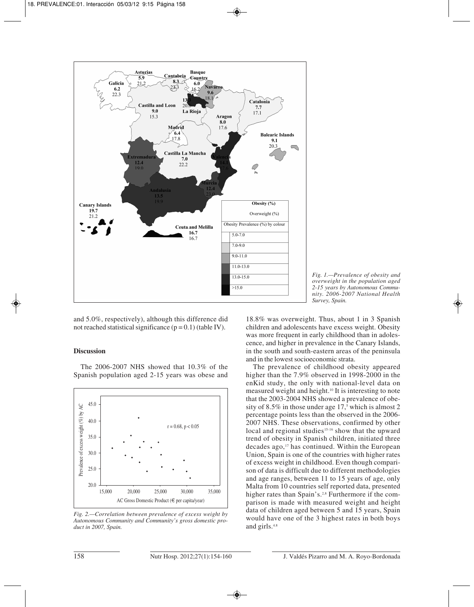

*Fig. 1.—Prevalence of obesity and overweight in the population aged 2-15 years by Autonomous Community. 2006-2007 National Health Survey, Spain.*

and 5.0%, respectively), although this difference did not reached statistical significance  $(p = 0.1)$  (table IV).

# **Discussion**

The 2006-2007 NHS showed that 10.3% of the Spanish population aged 2-15 years was obese and



*Fig. 2.—Correlation between prevalence of excess weight by Autonomous Community and Community's gross domestic product in 2007, Spain.*

18.8% was overweight. Thus, about 1 in 3 Spanish children and adolescents have excess weight. Obesity was more frequent in early childhood than in adolescence, and higher in prevalence in the Canary Islands, in the south and south-eastern areas of the peninsula and in the lowest socioeconomic strata.

The prevalence of childhood obesity appeared higher than the 7.9% observed in 1998-2000 in the enKid study, the only with national-level data on measured weight and height.10 It is interesting to note that the 2003-2004 NHS showed a prevalence of obesity of 8.5% in those under age  $17<sub>5</sub>$  which is almost 2 percen tage points less than the observed in the 2006- 2007 NHS. These observations, confirmed by other local and regional studies<sup>15-16</sup> show that the upward trend of obesity in Spanish children, initiated three decades ago, $17$  has continued. Within the European Union, Spain is one of the countries with higher rates of excess weight in childhood. Even though comparison of data is difficult due to different methodologies and age ranges, between 11 to 15 years of age, only Malta from 10 countries self reported data, presented higher rates than Spain's.<sup>2,8</sup> Furthermore if the comparison is made with measured weight and height data of children aged between 5 and 15 years, Spain would have one of the 3 highest rates in both boys and girls.<sup>4.8</sup>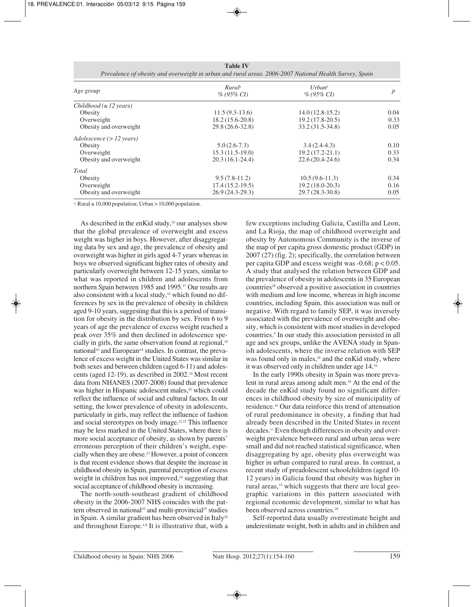| Age group                           | Rural <sup>a</sup><br>$% (95\% CI)$ | $U$ rban <sup>b</sup><br>$% (95\% CI)$ | p    |
|-------------------------------------|-------------------------------------|----------------------------------------|------|
| $Childhood (\leq 12 \text{ years})$ |                                     |                                        |      |
| Obesity                             | $11.5(9.3-13.6)$                    | $14.0(12.8-15.2)$                      | 0.04 |
| Overweight                          | $18.2(15.6-20.8)$                   | $19.2(17.8-20.5)$                      | 0.33 |
| Obesity and overweight              | 29.8 (26.6-32.8)                    | 33.2 (31.5-34.8)                       | 0.05 |
| $Adolescence (> 12 \text{ years})$  |                                     |                                        |      |
| Obesity                             | $5.0(2.6-7.3)$                      | $3.4(2.4-4.3)$                         | 0.10 |
| Overweight                          | $15.3(11.5-19.0)$                   | $19.2(17.2 - 21.1)$                    | 0.33 |
| Obesity and overweight              | $20.3(16.1-24.4)$                   | $22.6(20.4-24.6)$                      | 0.34 |
| Total                               |                                     |                                        |      |
| Obesity                             | $9.5(7.8-11.2)$                     | $10.5(9.6-11.3)$                       | 0.34 |
| Overweight                          | $17.4(15.2-19.5)$                   | $19.2(18.0-20.3)$                      | 0.16 |
| Obesity and overweight              | $26.9(24.3-29.3)$                   | 29.7 (28.3-30.8)                       | 0.05 |

a : Rural ≤ 10,000 population; Urban > 10,000 population.

As described in the enKid study,<sup>10</sup> our analyses show that the global prevalence of overweight and excess weight was higher in boys. However, after disaggregating data by sex and age, the prevalence of obesity and overweight was higher in girls aged 4-7 years whereas in boys we observed significant higher rates of obesity and particularly overweight between 12-15 years, similar to what was reported in children and adolescents from northern Spain between 1985 and 1995.17 Our results are also consistent with a local study,<sup>16</sup> which found no differences by sex in the prevalence of obesity in children aged 9-10 years, suggesting that this is a period of transition for obesity in the distribution by sex. From 6 to 9 years of age the prevalence of excess weight reached a peak over 35% and then declined in adolescence specially in girls, the same observation found at regional,<sup>18</sup> national<sup>10</sup> and European<sup>4,8</sup> studies. In contrast, the prevalence of excess weight in the United States was similar in both sexes and between children (aged 6-11) and adolescents (aged 12-19), as described in 2002.19 Most recent data from NHANES (2007-2008) found that prevalence was higher in Hispanic adolescent males,<sup>20</sup> which could reflect the influence of social and cultural factors. In our setting, the lower prevalence of obesity in adolescents, particularly in girls, may reflect the influence of fashion and social stereotypes on body image.21,22 This influence may be less marked in the United States, where there is more social acceptance of obesity, as shown by parents' erroneous perception of their children's weight, especially when they are obese.23 However, a point of concern is that recent evidence shows that despite the increase in childhood obesity in Spain, parental perception of excess weight in children has not improved,<sup>24</sup> suggesting that social acceptance of childhood obesity is increasing.

The north-south-southeast gradient of childhood obesity in the 2006-2007 NHS coincides with the pattern observed in national<sup>10</sup> and multi-provincial<sup>25</sup> studies in Spain. A similar gradient has been observed in Italy<sup>26</sup> and throughout Europe.4,8 It is illustrative that, with a few exceptions including Galicia, Castilla and Leon, and La Rioja, the map of childhood overweight and obesity by Autonomous Community is the inverse of the map of per capita gross domestic product (GDP) in 2007 (27) (fig. 2); specifically, the correlation between per capita GDP and excess weight was  $-0.68$ ;  $p < 0.05$ . A study that analysed the relation between GDP and the prevalence of obesity in adolescents in 35 European countries<sup>28</sup> observed a positive association in countries with medium and low income, whereas in high income countries, including Spain, this association was null or negative. With regard to family SEP, it was inversely associated with the prevalence of overweight and obesity, which is consistent with most studies in developed countries.9 In our study this association persisted in all age and sex groups, unlike the AVENA study in Spanish adolescents, where the inverse relation with SEP was found only in males,<sup>29</sup> and the enKid study, where it was observed only in children under age 14.10

In the early 1990s obesity in Spain was more prevalent in rural areas among adult men.<sup>30</sup> At the end of the decade the enKid study found no significant differences in childhood obesity by size of municipality of residence.10 Our data reinforce this trend of attenuation of rural predominance in obesity, a finding that had already been described in the United States in recent decades.11 Even though differences in obesity and overweight prevalence between rural and urban areas were small and did not reached statistical significance, when disaggregating by age, obesity plus overweight was higher in urban compared to rural areas. In contrast, a recent study of preadolescent schoolchildren (aged 10- 12 years) in Galicia found that obesity was higher in rural areas,<sup>15</sup> which suggests that there are local geographic variations in this pattern associated with regional economic development, similar to what has been observed across countries.<sup>28</sup>

Self-reported data usually overestimate height and underestimate weight, both in adults and in children and